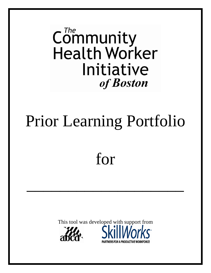$\mathsf{Community}$ **Health Worker** Initiative of **Boston** 

# Prior Learning Portfolio

for

\_\_\_\_\_\_\_\_\_\_\_\_\_\_\_\_\_\_\_

This tool was developed with support from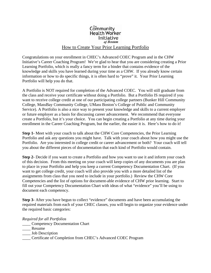#### $\mathsf{Communitv}$ **Health Worker** Initiative of **Boston**

#### How to Create Your Prior Learning Portfolio

Congratulations on your enrollment in CHEC's Advanced COEC Program and in the CHW Initiative's Career Coaching Program! We're glad to hear that you are considering creating a Prior Learning Portfolio, which is really a fancy term for a binder that contains evidence of the knowledge and skills you have learned during your time as a CHW. If you already know certain information or how to do specific things, it is often hard to "prove" it. Your Prior Learning Portfolio will help you do that.

A Portfolio is NOT required for completion of the Advanced COEC. You will still graduate from the class and receive your certificate without doing a Portfolio. But a Portfolio IS required if you want to receive college credit at one of our participating college partners (Bunker Hill Community College, MassBay Community College, UMass Boston's College of Public and Community Service). A Portfolio is also a nice way to present your knowledge and skills to a current employer or future employer as a basis for discussing career advancement. We recommend that everyone create a Portfolio, but it's your choice. You can begin creating a Portfolio at any time during your enrollment in the Career Coaching Program, but the earlier, the easier it is. Here's how to do it!

**Step 1-** Meet with your coach to talk about the CHW Core Competencies, the Prior Learning Portfolio and ask any questions you might have. Talk with your coach about how you might use the Portfolio. Are you interested in college credit or career advancement or both? Your coach will tell you about the different pieces of documentation that each kind of Portfolio would contain.

**Step 2-** Decide if you want to create a Portfolio and how you want to use it and inform your coach of this decision. From this meeting on your coach will keep copies of any documents you are plan to place in your Portfolio and help you keep a current Competency Documentation Chart. (If you want to get college credit, your coach will also provide you with a more detailed list of the assignments from class that you need to include in your portfolio.) Review the CHW Core Competencies and the list of options for document-able evidence of CHW prior learning. Start to fill out your Competency Documentation Chart with ideas of what "evidence" you'll be using to document each competency.

**Step 3-** After you have begun to collect "evidence" documents and have been accumulating the required materials from each of your CHEC classes, you will begin to organize your evidence under the required basic categories:

*Required for all Portfolios* 

- \_\_\_\_ Competency Documentation Chart
- \_\_\_\_ Resume
- Job Description
- \_\_\_\_ Certificate of Completion from CHEC's Advanced COEC Program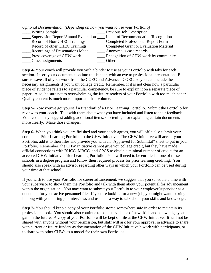| (Optional Documentation (Depending on how you want to use your Portfolio) |                                               |
|---------------------------------------------------------------------------|-----------------------------------------------|
| <b>Writing Sample</b>                                                     | Previous Job Description                      |
| Supervision Report/Annual Evaluation                                      | Letter of Recommendation/Recognition          |
| <b>Record of Non-CHEC Trainings</b>                                       | <b>Completed Professional Report Form</b>     |
| Record of other CHEC Trainings                                            | <b>Completed Grant or Evaluation Material</b> |
| Recordings of Presentations Made                                          | Anonymous case records                        |
| Press coverage of CHW work                                                | Recognition of CHW work by community          |
| Class assignments                                                         | Other                                         |
|                                                                           |                                               |

*Optional Documentation (Depending on how you want to use your Portfolio)*

**Step 4-** Your coach will provide you with a binder to use as your Portfolio with tabs for each section. Insert your documentation into this binder, with an eye to professional presentation. Be sure to save all of your work from the COEC and Advanced COEC, so you can include the necessary assignments if you want college credit. Remember, if it is not clear how a particular piece of evidence relates to a particular competency, be sure to explain it on a separate piece of paper. Also, be sure not to overwhelming the future readers of your Portfolio with too much paper. Quality content is much more important than volume.

**Step 5-** Now you've got yourself a first draft of a Prior Learning Portfolio. Submit the Portfolio for review to your coach. Talk with them about what you have included and listen to their feedback. Your coach may suggest adding additional items, shortening it or explaining certain documents more clearly. Make those changes.

**Step 6-** When you think you are finished and your coach agrees, you will officially submit your completed Prior Learning Portfolio to the CHW Initiative. The CHW Initiative will accept your Portfolio, add it to their files and provide you with an "Approved for Submittal" sheet to put in your Portfolio. Remember, the CHW Initiative cannot give you college credit, but they have made official connections with BHCC, MBCC, and CPCS to obtain a minimal number of credits for an accepted CHW Initiative Prior Learning Portfolio. You will need to be enrolled at one of these schools in a degree program and follow their required process for prior learning crediting. You should also speak with an advisor regarding other ways in which your Portfolio can be used during your time at that school.

If you wish to use your Portfolio for career advancement, we suggest that you schedule a time with your supervisor to show them the Portfolio and talk with them about your potential for advancement within the organization. You may want to submit your Portfolio to your employer/supervisor as a document for your active personnel file. If you are looking for a new job, you might want to bring it along with you during job interviews and use it as a way to talk about your skills and knowledge.

**Step 7-** You should keep a copy of your Portfolio stored somewhere safe in order to maintain its professional look. You should also continue to collect evidence of new skills and knowledge you gain in the future. A copy of your Portfolio will be kept on file at the CHW Initiative. It will not be shared with anyone without your permission, but staff will ask for your approval in advance to share with current or future funders as documentation of the CHW Initiative's work with participants, or to share with other CHWs as a model for their own Portfolios.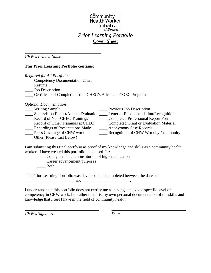#### $\mathsf{Communitv}$ **Health Worker** Initiative of Boston *Prior Learning Portfolio*  **Cover Sheet**

*CHW's Printed Name*

#### **This Prior Learning Portfolio contains:**

\_\_\_\_\_\_\_\_\_\_\_\_\_\_\_\_\_\_\_\_\_\_\_\_\_\_\_\_\_\_\_\_\_\_\_\_\_

| <b>Required for All Portfolios</b>                          |                                      |
|-------------------------------------------------------------|--------------------------------------|
| <b>Competency Documentation Chart</b>                       |                                      |
| Resume                                                      |                                      |
| <b>Job Description</b>                                      |                                      |
| Certificate of Completion from CHEC's Advanced COEC Program |                                      |
| <b>Optional Documentation</b>                               |                                      |
| <b>Writing Sample</b>                                       | Previous Job Description             |
| Supervision Report/Annual Evaluation                        | Letter of Recommendation/Recognition |

| Supervision Report/Annual Evaluation | Letter of Recommendation/Recognition          |
|--------------------------------------|-----------------------------------------------|
| Record of Non-CHEC Trainings         | <b>Completed Professional Report Form</b>     |
| Record of Other Trainings at CHEC    | <b>Completed Grant or Evaluation Material</b> |
| Recordings of Presentations Made     | Anonymous Case Records                        |
| Press Coverage of CHW work           | Recognition of CHW Work by Community          |
| Other (Please List Below)            |                                               |

I am submitting this final portfolio as proof of my knowledge and skills as a community health worker. I have created this portfolio to be used for:

\_\_\_\_ College credit at an institution of higher education

\_\_\_\_ Career advancement purposes

\_\_\_\_ Both

This Prior Learning Portfolio was developed and completed between the dates of  $\qquad \qquad \text{and} \qquad \qquad \qquad \qquad .$ 

I understand that this portfolio does not certify me as having achieved a specific level of competency in CHW work, but rather that it is my own personal documentation of the skills and knowledge that I feel I have in the field of community health.

\_\_\_\_\_\_\_\_\_\_\_\_\_\_\_\_\_\_\_\_\_\_\_\_\_\_\_\_\_\_\_\_\_\_\_\_ \_\_\_\_\_\_\_\_\_\_\_\_\_\_\_\_\_\_\_\_\_\_\_\_\_\_\_\_\_\_\_\_\_\_\_\_

*CHW's Signature Date*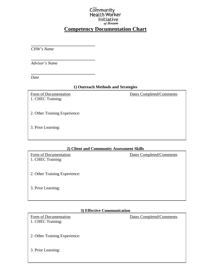#### Community **Health Worker** Initiative of Boston

### **Competency Documentation Chart**

*CHW's Name* 

**\_\_\_\_\_\_\_\_\_\_\_\_\_\_\_\_\_\_\_\_\_\_\_\_\_\_\_\_\_\_\_** 

**\_\_\_\_\_\_\_\_\_\_\_\_\_\_\_\_\_\_\_\_\_\_\_\_\_\_\_\_\_\_\_** 

**\_\_\_\_\_\_\_\_\_\_\_\_\_\_\_\_\_\_\_\_\_\_\_\_\_\_\_\_\_\_\_** 

*Advisor's Name* 

*Date* 

#### **1) Outreach Methods and Strategies**

1. CHEC Training:

Form of Documentation Dates Completed/Comments

2. Other Training Experience:

3. Prior Learning:

#### **2) Client and Community Assessment Skills**

| Form of Documentation<br>1. CHEC Training: | Dates Completed/Comments |
|--------------------------------------------|--------------------------|
| 2. Other Training Experience:              |                          |
| 3. Prior Learning:                         |                          |

#### **3) Effective Communication**

1. CHEC Training:

Form of Documentation Dates Completed/Comments

2. Other Training Experience:

3. Prior Learning: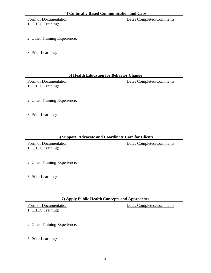1. CHEC Training:

Form of Documentation Dates Completed/Comments

- 2. Other Training Experience:
- 3. Prior Learning:

#### **5) Health Education for Behavior Change**

1. CHEC Training:

Form of Documentation Dates Completed/Comments

- 2. Other Training Experience:
- 3. Prior Learning:

#### **6) Support, Advocate and Coordinate Care for Clients**

1. CHEC Training:

Form of Documentation Dates Completed/Comments

2. Other Training Experience:

3. Prior Learning:

#### **7) Apply Public Health Concepts and Approaches**

1. CHEC Training:

Form of Documentation Dates Completed/Comments

2. Other Training Experience:

#### 3. Prior Learning: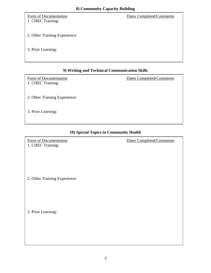## Form of Documentation Dates Completed/Comments 1. CHEC Training: 2. Other Training Experience: 3. Prior Learning:

#### **9) Writing and Technical Communication Skills**

1. CHEC Training:

Form of Documentation Dates Completed/Comments

2. Other Training Experience:

3. Prior Learning:

#### **10) Special Topics in Community Health**

1. CHEC Training:

Form of Documentation Dates Completed/Comments

2. Other Training Experience:

3. Prior Learning: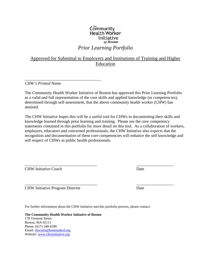#### $\mathsf{C}_{\mathsf{om}}^{\mathsf{m}}$ munity **Health Worker** Initiative of Boston

#### *Prior Learning Portfolio*

#### Approved for Submittal to Employers and Institutions of Training and Higher Education

*CHW's Printed Name*

\_\_\_\_\_\_\_\_\_\_\_\_\_\_\_\_\_\_\_\_\_\_\_\_\_\_\_\_\_\_\_\_\_\_\_\_\_

The Community Health Worker Initiative of Boston has approved this Prior Learning Portfolio as a valid and full representation of the core skills and applied knowledge (or *competencie*s), determined through self-assessment, that the above community health worker (CHW) has attained.

The CHW Initiative hopes this will be a useful tool for CHWs in documenting their skills and knowledge learned through prior learning and training. Please see the core competency statements contained in this portfolio for more detail on this tool. As a collaboration of workers, employers, educators and concerned professionals, the CHW Initiative also expects that the recognition and documentation of these core competencies will enhance the self knowledge and self respect of CHWs as public health professionals.

 $\frac{1}{2}$  ,  $\frac{1}{2}$  ,  $\frac{1}{2}$  ,  $\frac{1}{2}$  ,  $\frac{1}{2}$  ,  $\frac{1}{2}$  ,  $\frac{1}{2}$  ,  $\frac{1}{2}$  ,  $\frac{1}{2}$  ,  $\frac{1}{2}$  ,  $\frac{1}{2}$  ,  $\frac{1}{2}$  ,  $\frac{1}{2}$  ,  $\frac{1}{2}$  ,  $\frac{1}{2}$  ,  $\frac{1}{2}$  ,  $\frac{1}{2}$  ,  $\frac{1}{2}$  ,  $\frac{1$ 

\_\_\_\_\_\_\_\_\_\_\_\_\_\_\_\_\_\_\_\_\_\_\_\_\_\_\_\_\_\_\_\_\_\_\_ \_\_\_\_\_\_\_\_\_\_\_\_\_\_\_\_\_\_

CHW Initiative Coach Date

CHW Initiative Program Director Date

For further information about the CHW Initiative and this portfolio process, please contact:

**The Community Health Worker Initiative of Boston**  178 Tremont Street Boston, MA 02111 Phone: (617) 348-6590 Email: chwinfo@bostonabcd.org Website: www.chwinitiative.org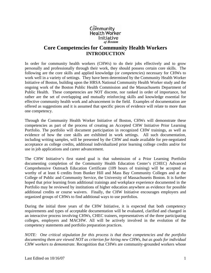#### $\mathsf{Communitv}$ **Health Worker** Initiative of Boston

#### **Core Competencies for Community Health Workers INTRODUCTION**

In order for community health workers (CHWs) to do their jobs effectively and to grow personally and professionally through their work, they should possess certain core skills. The following are the core skills and applied knowledge (or *competencie*s) necessary for CHWs to work well in a variety of settings. They have been determined by the Community Health Worker Initiative of Boston, building upon the HRSA National Community Health Worker study and the ongoing work of the Boston Public Health Commission and the Massachusetts Department of Public Health. These competencies are NOT discrete, nor ranked in order of importance, but rather are the set of overlapping and mutually reinforcing skills and knowledge essential for effective community health work and advancement in the field. Examples of documentation are offered as suggestions and it is assumed that specific pieces of evidence will relate to more than one competency.

Through the Community Health Worker Initiative of Boston, CHWs will demonstrate these competencies as part of the process of creating an Accepted CHW Initiative Prior Learning Portfolio. The portfolio will document participation in recognized CHW trainings, as well as evidence of how the core skills are exhibited in work settings. All such documentation, including writing samples, will be presented by the CHW and made available for pre-negotiated acceptance as college credits, additional individualized prior learning college credits and/or for use in job applications and career advancement.

The CHW Initiative's first stated goal is that submission of a Prior Learning Portfolio documenting completion of the Community Health Education Center's (CHEC) Advanced Comprehensive Outreach Education Certificate (109 hours of training) will be accepted as worthy of at least 6 credits from Bunker Hill and Mass Bay Community Colleges and at the College of Public and Community Service, the University of Massachusetts Boston. It is further hoped that prior learning from additional trainings and workplace experience documented in the Portfolio may be reviewed by institutions of higher education anywhere as evidence for possible additional credits or course waivers. Finally, the CHW Initiative encourages employers and organized groups of CHWs to find additional ways to use portfolios.

During the initial three years of the CHW Initiative, it is expected that both competency requirements and types of acceptable documentation will be evaluated, clarified and changed in an interactive process involving CHWs, CHEC trainers, representatives of the three participating colleges, employers and MACHW. All will be actively involved in the evolution of the competency statements and portfolio preparation practices.

*NOTE: One critical stipulation for this process is that these competencies and the portfolio documenting them are viewed NOT as criterion for hiring new CHWs, but as goals for individual CHW workers to demonstrate.* Recognition that CHWs are community-grounded workers whose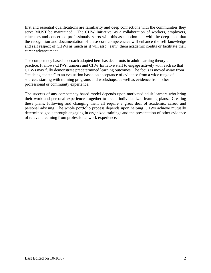first and essential qualifications are familiarity and deep connections with the communities they serve MUST be maintained. The CHW Initiative, as a collaboration of workers, employers, educators and concerned professionals, starts with this assumption and with the deep hope that the recognition and documentation of these core competencies will enhance the self knowledge and self respect of CHWs as much as it will also "earn" them academic credits or facilitate their career advancement.

The competency based approach adopted here has deep roots in adult learning theory and practice. It allows CHWs, trainers and CHW Initiative staff to engage actively with each so that CHWs may fully demonstrate predetermined learning outcomes. The focus is moved away from "teaching content" to an evaluation based on acceptance of evidence from a wide range of sources: starting with training programs and workshops, as well as evidence from other professional or community experience.

The success of any competency based model depends upon motivated adult learners who bring their work and personal experiences together to create individualized learning plans. Creating these plans, following and changing them all require a great deal of academic, career and personal advising. The whole portfolio process depends upon helping CHWs achieve mutually determined goals through engaging in organized trainings and the presentation of other evidence of relevant learning from professional work experience.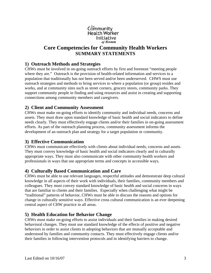#### $\mathsf{Communitv}$ **Health Worker** Initiative of Boston

#### **Core Competencies for Community Health Workers SUMMARY STATEMENTS**

#### **1) Outreach Methods and Strategies**

CHWs must be involved in on-going outreach efforts by first and foremost "meeting people where they are." Outreach is the provision of health-related information and services to a population that traditionally has not been served and/or been underserved. CHWS must use outreach strategies and methods to bring services to where a population (or group) resides and works, and at community sites such as street corners, grocery stores, community parks. They support community people in finding and using resources and assist in creating and supporting connections among community members and caregivers.

#### **2) Client and Community Assessment**

CHWs must make on-going efforts to identify community and individual needs, concerns and assets. They must draw upon standard knowledge of basic health and social indicators to define needs clearly. They must effectively engage clients and/or their families in on-going assessment efforts. As part of the outreach planning process, community assessment informs the development of an outreach plan and strategy for a target population or community.

#### **3) Effective Communication**

CHWs must communicate effectively with clients about individual needs, concerns and assets. They must convey knowledge of basic health and social indicators clearly and in culturally appropriate ways. They must also communicate with other community health workers and professionals in ways that use appropriate terms and concepts in accessible ways.

#### **4) Culturally Based Communication and Care**

CHWs must be able to use relevant languages, respectful attitudes and demonstrate deep cultural knowledge in all aspects of their work with individuals, their families, community members and colleagues. They must convey standard knowledge of basic health and social concerns in ways that are familiar to clients and their families. Especially when challenging what might be "traditional" patterns of behavior, CHWs must be able to discuss the reasons and options for change in culturally sensitive ways. Effective cross cultural communication is an ever deepening central aspect of CHW practice in all areas.

#### **5) Health Education for Behavior Change**

CHWs must make on-going efforts to assist individuals and their families in making desired behavioral changes. They must use standard knowledge of the effects of positive and negative behaviors in order to assist clients in adopting behaviors that are mutually acceptable and understood by families and community contacts. They must effectively engage clients and/or their families in following intervention protocols and in identifying barriers to change.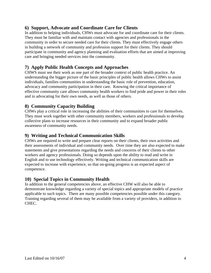#### **6) Support, Advocate and Coordinate Care for Clients**

In addition to helping individuals, CHWs must advocate for and coordinate care for their clients. They must be familiar with and maintain contact with agencies and professionals in the community in order to secure needed care for their clients. They must effectively engage others in building a network of community and profession support for their clients. They should participate in community and agency planning and evaluation efforts that are aimed at improving care and bringing needed services into the community.

#### **7) Apply Public Health Concepts and Approaches**

CHWS must see their work as one part of the broader context of public health practice. An understanding the bigger picture of the basic principles of public health allows CHWs to assist individuals, families communities in understanding the basic role of prevention, education, advocacy and community participation in their care. Knowing the critical importance of effective community care allows community health workers to find pride and power in their roles and in advocating for their own needs, as well as those of others.

#### **8) Community Capacity Building**

CHWs play a critical role in increasing the abilities of their communities to care for themselves. They must work together with other community members, workers and professionals to develop collective plans to increase resources in their community and to expand broader public awareness of community needs.

#### **9) Writing and Technical Communication Skills**

CHWs are required to write and prepare clear reports on their clients, their own activities and their assessments of individual and community needs. Over time they are also expected to make statements and give presentations regarding the needs and concerns of their clients to other workers and agency professionals. Doing so depends upon the ability to read and write in English and to use technology effectively. Writing and technical communication skills are expected to increase with experience, so that on-going progress is an expected aspect of competence.

#### **10) Special Topics in Community Health**

In addition to the general competencies above, an effective CHW will also be able to demonstrate knowledge regarding a variety of special topics and appropriate models of practice applicable to such topics. There are many possible competencies possible under this category. Training regarding several of them may be available from a variety of providers, in addition to CHEC.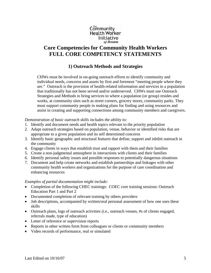#### $\mathsf{Communitv}$ **Health Worker** Initiative of Boston

#### **Core Competencies for Community Health Workers FULL CORE COMPETENCY STATEMENTS**

#### **1) Outreach Methods and Strategies**

CHWs must be involved in on-going outreach efforts to identify community and individual needs, concerns and assets by first and foremost "meeting people where they are." Outreach is the provision of health-related information and services to a population that traditionally has not been served and/or underserved. CHWs must use Outreach Strategies and Methods to bring services to where a population (or group) resides and works, at community sites such as street corners, grocery stores, community parks. They must support community people in making plans for finding and using resources and assist in creating and supporting connections among community members and caregivers.

#### *Demonstration of basic outreach skills includes the ability to:*

- 1. Identify and document needs and health topics relevant to the priority population
- 2. Adapt outreach strategies based on population, venue, behavior or identified risks that are appropriate to a given population and its self determined concerns
- 3. Identify basic geographic and structural features that define, support and inhibit outreach in the community
- 4. Engage clients in ways that establish trust and rapport with them and their families
- 5. Create a non-judgmental atmosphere in interactions with clients and their families
- 6. Identify personal safety issues and possible responses to potentially dangerous situations
- 7. Document and help create networks and establish partnerships and linkages with other community health workers and organizations for the purpose of care coordination and enhancing resources

- Completion of the following CHEC trainings: COEC core training sessions: Outreach Education Part 1 and Part 2
- Documented completion of relevant training by others providers
- Job descriptions, accompanied by written/oral personal assessment of how one uses these skills
- Outreach plans, logs of outreach activities (i.e., outreach venues, #s of clients engaged, referrals made, type of education)
- Letter of reference or supervision reports
- Reports in other written form from colleagues or clients or community members
- Video records of performance, real or simulated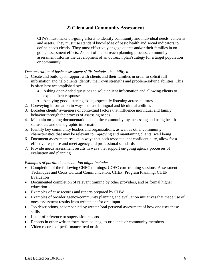#### **2) Client and Community Assessment**

CHWs must make on-going efforts to identify community and individual needs, concerns and assets. They must use standard knowledge of basic health and social indicators to define needs clearly. They must effectively engage clients and/or their families in ongoing assessment efforts. As part of the outreach planning process, community assessment informs the development of an outreach plan/strategy for a target population or community.

#### *Demonstration of basic assessment skills includes the ability to:*

- 1. Create and build upon rapport with clients and their families in order to solicit full information and help clients identify their own strengths and problem-solving abilities. This is often best accomplished by:
	- Asking open-ended questions to solicit client information and allowing clients to explain their responses
	- Applying good listening skills, especially listening across cultures
- 2. Conveying information in ways that use bilingual and bicultural abilities
- 3. Broaden clients' awareness of contextual factors that influence individual and family behavior through the process of assessing needs,
- 4. Maintain on-going documentation about the community, by accessing and using health status data and demographic information
- 5. Identify key community leaders and organizations, as well as other community characteristics that may be relevant to improving and maintaining clients' well being
- 6. Document assessment results in ways that both respect client confidentiality, allow for a effective response and meet agency and professional standards
- 7. Provide needs assessment results in ways that support on-going agency processes of evaluation and planning

- Completion of the following CHEC trainings: COEC core training sessions: Assessment Techniques and Cross Cultural Communication; CHEP: Program Planning; CHEP: Evaluation
- Documented completion of relevant training by other providers, and or formal higher education
- Examples of case records and reports prepared by CHW
- Examples of broader agency/community planning and evaluation initiatives that made use of ones assessment results from written and/or oral input
- Job descriptions, accompanied by written/oral personal assessment of how one uses these skills
- Letter of reference or supervision reports
- Reports in other written form from colleagues or clients or community members
- Video records of performance, real or simulated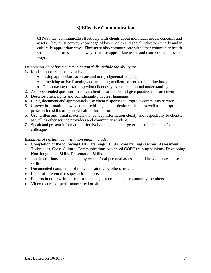#### **3) Effective Communication**

CHWs must communicate effectively with clients about individual needs, concerns and assets. They must convey knowledge of basic health and social indicators clearly and in culturally appropriate ways. They must also communicate with other community health workers and professionals in ways that use appropriate terms and concepts in accessible ways.

#### *Demonstration of basic communication skills include the ability to:*

#### **1.** Model appropriate behavior by

- Using appropriate, accurate and non-judgmental language
- Practicing active listening and attending to client concerns (including body language)
- Paraphrasing (reframing) what clients say to ensure a mutual understanding
- 2. Ask open-ended questions to solicit client information and give positive reinforcement
- 3. Describe client rights and confidentiality in clear language
- 4. Elicit, document and appropriately use client responses to improve community service
- 5. Convey information in ways that use bilingual and bicultural skills, as well as appropriate presentation skills of agency/health information
- 6. Use written and visual materials that convey information clearly and respectfully to clients, as well as other service providers and community residents
- *7.* Speak and present information effectively to small and large groups of clients and/or colleagues

- Completion of the following CHEC trainings: COEC core training sessions: Assessment Techniques, Cross-Cultural Communication; Advanced COEC training sessions: Developing Non-Judgmental Skills, Presentation Skills
- Job descriptions, accompanied by written/oral personal assessment of how one uses these skills
- Documented completion of relevant training by others providers
- Letter of reference or supervision reports
- Reports in other written form from colleagues or clients or community members
- Video records of performance, real or simulated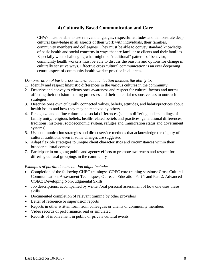#### **4) Culturally Based Communication and Care**

CHWs must be able to use relevant languages, respectful attitudes and demonstrate deep cultural knowledge in all aspects of their work with individuals, their families, community members and colleagues. They must be able to convey standard knowledge of basic health and social concerns in ways that are familiar to clients and their families. Especially when challenging what might be "traditional" patterns of behavior, community health workers must be able to discuss the reasons and options for change in culturally sensitive ways. Effective cross cultural communication is an ever deepening central aspect of community health worker practice in all areas.

#### *Demonstration of basic cross cultural communication includes the ability to:*

- 1. Identify and respect linguistic differences in the various cultures in the community
- 2. Describe and convey to clients ones awareness and respect for cultural factors and norms affecting their decision-making processes and their potential responsiveness to outreach strategies.
- 3. Describe ones own culturally connected values, beliefs, attitudes, and habits/practices about health issues and how they may be received by others
- 4. Recognize and define cultural and social differences (such as differing understandings of family unity, religious beliefs, health-related beliefs and practices, generational differences, traditions, histories, socioeconomic system, refugee and immigration status and government systems).
- 5. Use communication strategies and direct service methods that acknowledge the dignity of cultural traditions, even if some changes are suggested
- 6. Adapt flexible strategies to unique client characteristics and circumstances within their broader cultural context
- 7. Participate in on-going public and agency efforts to promote awareness and respect for differing cultural groupings in the community

- Completion of the following CHEC trainings: COEC core training sessions: Cross Cultural Communication, Assessment Techniques, Outreach Education Part 1 and Part 2; Advanced COEC: Developing Non-Judgmental Skills
- Job descriptions, accompanied by written/oral personal assessment of how one uses these skills
- Documented completion of relevant training by other providers
- Letter of reference or supervision reports
- Reports in other written form from colleagues or clients or community members
- Video records of performance, real or simulated
- Records of involvement in public or private cultural events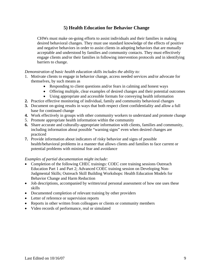#### **5) Health Education for Behavior Change**

CHWs must make on-going efforts to assist individuals and their families in making desired behavioral changes. They must use standard knowledge of the effects of positive and negative behaviors in order to assist clients in adopting behaviors that are mutually acceptable and understood by families and community contacts. They must effectively engage clients and/or their families in following intervention protocols and in identifying barriers to change.

#### *Demonstration of basic health education skills includes the ability to:*

- 1. Motivate clients to engage in behavior change, access needed services and/or advocate for themselves, by such means as
	- Responding to client questions and/or fears in calming and honest ways
	- Offering multiple, clear examples of desired changes and their potential outcomes
	- Using appropriate and accessible formats for conveying health information
- **2.** Practice effective monitoring of individual, family and community behavioral changes
- **3.** Document on-going results in ways that both respect client confidentiality and allow a full base for continued change
- **4.** Work effectively in groups with other community workers to understand and promote change
- 5. Promote appropriate health information within the community
- **6.** Share accurate and culturally-appropriate information with clients, families and community, including information about possible "warning signs" even when desired changes are practiced
- **7.** Provide information about indicators of risky behavior and signs of possible health/behavioral problems in a manner that allows clients and families to face current or potential problems with minimal fear and avoidance

- Completion of the following CHEC trainings: COEC core training sessions Outreach Education Part 1 and Part 2; Advanced COEC training session on Developing Non-Judgmental Skills; Outreach Skill Building Workshops: Health Education Models for Behavior Change and Harm Reduction
- Job descriptions, accompanied by written/oral personal assessment of how one uses these skills
- Documented completion of relevant training by other providers
- Letter of reference or supervision reports
- Reports in other written from colleagues or clients or community members
- Video records of performance, real or simulated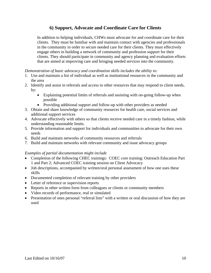#### **6) Support, Advocate and Coordinate Care for Clients**

In addition to helping individuals, CHWs must advocate for and coordinate care for their clients. They must be familiar with and maintain contact with agencies and professionals in the community in order to secure needed care for their clients. They must effectively engage others in building a network of community and profession support for their clients. They should participate in community and agency planning and evaluation efforts that are aimed at improving care and bringing needed services into the community.

*Demonstration of basic advocacy and coordination skills includes the ability to:*

- 1. Use and maintain a list of individual as well as institutional resources in the community and the area
- 2. Identify and assist in referrals and access to other resources that may respond to client needs, by:
	- Explaining potential limits of referrals and assisting with on-going follow-up when possible
	- Providing additional support and follow-up with other providers as needed
- 3. Obtain and share knowledge of community resources for health care, social services and additional support services
- 4. Advocate effectively with others so that clients receive needed care in a timely fashion, while understanding reasonable limits.
- 5. Provide information and support for individuals and communities to advocate for their own needs
- 6. Build and maintain networks of community resources and referrals
- 7. Build and maintain networks with relevant community and issue advocacy groups

- Completion of the following CHEC trainings: COEC core training: Outreach Education Part 1 and Part 2; Advanced COEC training session on Client Advocacy
- Job descriptions, accompanied by written/oral personal assessment of how one uses these skills
- Documented completion of relevant training by other providers
- Letter of reference or supervision reports
- Reports in other written form from colleagues or clients or community members
- Video records of performance, real or simulated
- Presentation of ones personal "referral lists" with a written or oral discussion of how they are used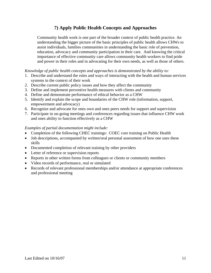#### **7) Apply Public Health Concepts and Approaches**

Community health work is one part of the broader context of public health practice. An understanding the bigger picture of the basic principles of public health allows CHWs to assist individuals, families communities in understanding the basic role of prevention, education, advocacy and community participation in their care. And knowing the critical importance of effective community care allows community health workers to find pride and power in their roles and in advocating for their own needs, as well as those of others.

#### *Knowledge of public health concepts and approaches is demonstrated by the ability to:*

- 1. Describe and understand the rules and ways of interacting with the health and human services systems in the context of their work
- 2. Describe current public policy issues and how they affect the community
- 3. Define and implement preventive health measures with clients and community
- 4. Define and demonstrate performance of ethical behavior as a CHW
- 5. Identify and explain the scope and boundaries of the CHW role (information, support, empowerment and advocacy)
- 6. Recognize and advocate for ones own and ones peers needs for support and supervision
- 7. Participate in on-going meetings and conferences regarding issues that influence CHW work and ones ability to function effectively as a CHW

- Completion of the following CHEC trainings: COEC core training on Public Health
- Job descriptions, accompanied by written/oral personal assessment of how one uses these skills
- Documented completion of relevant training by other providers
- Letter of reference or supervision reports
- Reports in other written forms from colleagues or clients or community members
- Video records of performance, real or simulated
- Records of relevant professional memberships and/or attendance at appropriate conferences and professional meeting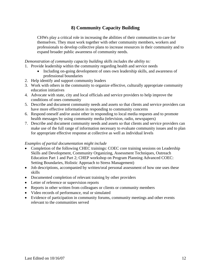#### **8) Community Capacity Building**

CHWs play a critical role in increasing the abilities of their communities to care for themselves. They must work together with other community members, workers and professionals to develop collective plans to increase resources in their community and to expand broader public awareness of community needs.

*Demonstration of community capacity building skills includes the ability to:*

- 1. Provide leadership within the community regarding health and service needs
	- Including on-going development of ones own leadership skills, and awareness of professional boundaries
- 2. Help identify and support community leaders
- 3. Work with others in the community to organize effective, culturally appropriate community education initiatives
- 4. Advocate with state, city and local officials and service providers to help improve the conditions of ones community
- 5. Describe and document community needs and assets so that clients and service providers can have more effective information in responding to community concerns
- 6. Respond oneself and/or assist other in responding to local media requests and to promote health messages by using community media (television, radio, newspapers)
- 7. Describe and document community needs and assets so that clients and service providers can make use of the full range of information necessary to evaluate community issues and to plan for appropriate effective response at collective as well as individual levels

- Completion of the following CHEC trainings: COEC core training sessions on Leadership Skills and Development, Community Organizing, Assessment Techniques, Outreach Education Part 1 and Part 2; CHEP workshop on Program Planning Advanced COEC: Setting Boundaries, Holistic Approach to Stress Management)
- Job descriptions, accompanied by written/oral personal assessment of how one uses these skills
- Documented completion of relevant training by other providers
- Letter of reference or supervision reports
- Reports in other written from colleagues or clients or community members
- Video records of performance, real or simulated
- Evidence of participation in community forums, community meetings and other events relevant to the communities served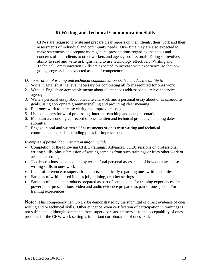#### **9) Writing and Technical Communication Skills**

CHWs are required to write and prepare clear reports on their clients, their work and their assessments of individual and community needs. Over time they are also expected to make statements and prepare more general presentations regarding the needs and concerns of their clients to other workers and agency professionals. Doing so involves ability to read and write in English and to use technology effectively. Writing and Technical Communication Skills are expected to increase with experience, so that ongoing progress is an expected aspect of competence.

#### *Demonstration of writing and technical communication skills includes the ability to*

- 1. Write in English at the level necessary for completing all forms required for ones work
- 2. Write in English an acceptable memo about client needs addressed to a relevant service agency
- 3. Write a personal essay about ones life and work and a personal essay about ones career/life goals, using appropriate grammar/spelling and providing clear meaning
- 4. Edit ones work to increase clarity and improve message
- 5. Use computers for word processing, internet searching and data presentation
- 6. Maintain a chronological record of ones written and technical products, including dates of submittal
- 7. Engage in oral and written self assessments of ones own writing and technical communication skills, including plans for improvement

#### *Examples of partial documentation might include*

- Completion of the following CHEC trainings: Advanced COEC sessions on professional writing skills, plus submission of writing samples from such trainings or from other work or academic settings
- Job descriptions, accompanied by written/oral personal assessment of how one uses these writing skills in ones work
- Letter of reference or supervision reports, specifically regarding ones writing abilities
- Samples of writing used in ones job, training, or other settings
- Samples of technical products prepared as part of ones job and/or training experiences, i.e., power point presentations, video and audio evidence prepared as part of ones job and/or training experiences.

**Note:** This competency can ONLY be demonstrated by the submittal of direct evidence of ones writing and or technical skills. Other evidence, even certification of participation in trainings is not sufficient – although comments from supervisors and trainers as to the acceptability of ones products for the CHW work setting is important corroboration of ones skill.